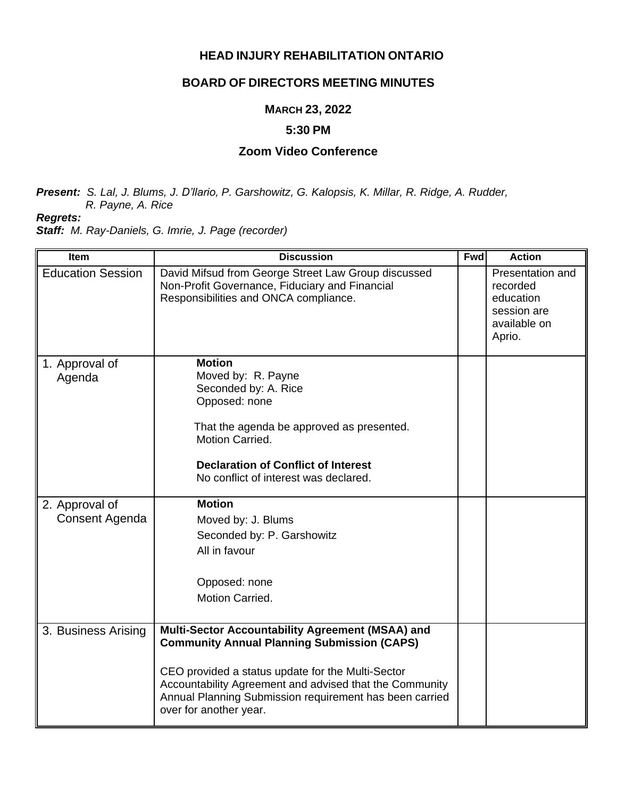#### **HEAD INJURY REHABILITATION ONTARIO**

## **BOARD OF DIRECTORS MEETING MINUTES**

### **MARCH 23, 2022**

#### **5:30 PM**

# **Zoom Video Conference**

*Present: S. Lal, J. Blums, J. D'llario, P. Garshowitz, G. Kalopsis, K. Millar, R. Ridge, A. Rudder, R. Payne, A. Rice*

*Regrets:*

*Staff: M. Ray-Daniels, G. Imrie, J. Page (recorder)*

| <b>Item</b>              | <b>Discussion</b>                                                                                                                                                                                                                   | <b>Fwd</b> | <b>Action</b>                                                                      |
|--------------------------|-------------------------------------------------------------------------------------------------------------------------------------------------------------------------------------------------------------------------------------|------------|------------------------------------------------------------------------------------|
| <b>Education Session</b> | David Mifsud from George Street Law Group discussed<br>Non-Profit Governance, Fiduciary and Financial<br>Responsibilities and ONCA compliance.                                                                                      |            | Presentation and<br>recorded<br>education<br>session are<br>available on<br>Aprio. |
| 1. Approval of<br>Agenda | <b>Motion</b><br>Moved by: R. Payne<br>Seconded by: A. Rice<br>Opposed: none<br>That the agenda be approved as presented.<br>Motion Carried.<br><b>Declaration of Conflict of Interest</b><br>No conflict of interest was declared. |            |                                                                                    |
| 2. Approval of           | <b>Motion</b>                                                                                                                                                                                                                       |            |                                                                                    |
| Consent Agenda           | Moved by: J. Blums                                                                                                                                                                                                                  |            |                                                                                    |
|                          | Seconded by: P. Garshowitz                                                                                                                                                                                                          |            |                                                                                    |
|                          | All in favour                                                                                                                                                                                                                       |            |                                                                                    |
|                          | Opposed: none                                                                                                                                                                                                                       |            |                                                                                    |
|                          | Motion Carried.                                                                                                                                                                                                                     |            |                                                                                    |
| 3. Business Arising      | Multi-Sector Accountability Agreement (MSAA) and<br><b>Community Annual Planning Submission (CAPS)</b>                                                                                                                              |            |                                                                                    |
|                          | CEO provided a status update for the Multi-Sector<br>Accountability Agreement and advised that the Community<br>Annual Planning Submission requirement has been carried<br>over for another year.                                   |            |                                                                                    |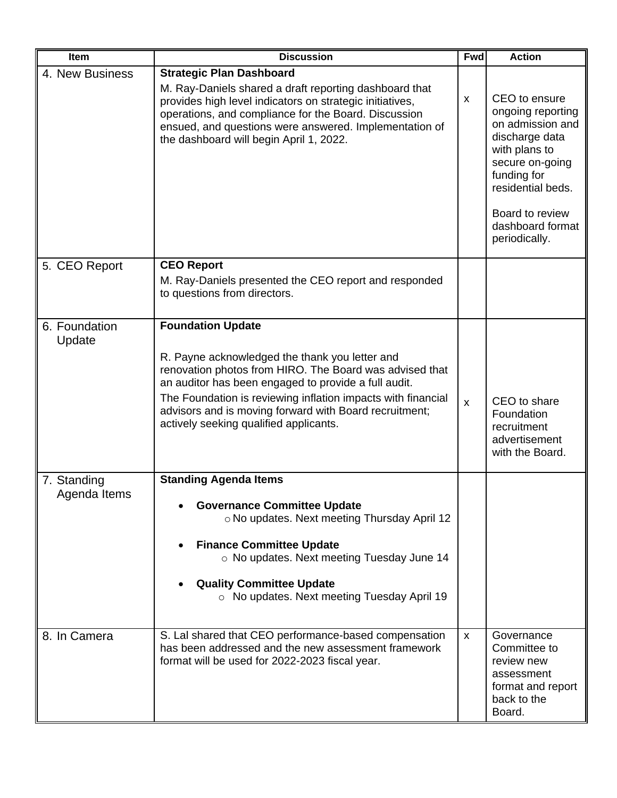| <b>Item</b>                 | <b>Discussion</b>                                                                                                                                                                                                                                                                                                                                                 | <b>Fwd</b>              | <b>Action</b>                                                                                                                                                                                            |
|-----------------------------|-------------------------------------------------------------------------------------------------------------------------------------------------------------------------------------------------------------------------------------------------------------------------------------------------------------------------------------------------------------------|-------------------------|----------------------------------------------------------------------------------------------------------------------------------------------------------------------------------------------------------|
| 4. New Business             | <b>Strategic Plan Dashboard</b><br>M. Ray-Daniels shared a draft reporting dashboard that<br>provides high level indicators on strategic initiatives,<br>operations, and compliance for the Board. Discussion<br>ensued, and questions were answered. Implementation of<br>the dashboard will begin April 1, 2022.                                                | X                       | CEO to ensure<br>ongoing reporting<br>on admission and<br>discharge data<br>with plans to<br>secure on-going<br>funding for<br>residential beds.<br>Board to review<br>dashboard format<br>periodically. |
| 5. CEO Report               | <b>CEO Report</b><br>M. Ray-Daniels presented the CEO report and responded<br>to questions from directors.                                                                                                                                                                                                                                                        |                         |                                                                                                                                                                                                          |
| 6. Foundation<br>Update     | <b>Foundation Update</b><br>R. Payne acknowledged the thank you letter and<br>renovation photos from HIRO. The Board was advised that<br>an auditor has been engaged to provide a full audit.<br>The Foundation is reviewing inflation impacts with financial<br>advisors and is moving forward with Board recruitment;<br>actively seeking qualified applicants. | $\overline{\mathsf{x}}$ | CEO to share<br>Foundation<br>recruitment<br>advertisement<br>with the Board.                                                                                                                            |
| 7. Standing<br>Agenda Items | <b>Standing Agenda Items</b><br><b>Governance Committee Update</b><br>o No updates. Next meeting Thursday April 12<br><b>Finance Committee Update</b><br>o No updates. Next meeting Tuesday June 14<br><b>Quality Committee Update</b><br>o No updates. Next meeting Tuesday April 19                                                                             |                         |                                                                                                                                                                                                          |
| 8. In Camera                | S. Lal shared that CEO performance-based compensation<br>has been addressed and the new assessment framework<br>format will be used for 2022-2023 fiscal year.                                                                                                                                                                                                    | $\mathsf{x}$            | Governance<br>Committee to<br>review new<br>assessment<br>format and report<br>back to the<br>Board.                                                                                                     |